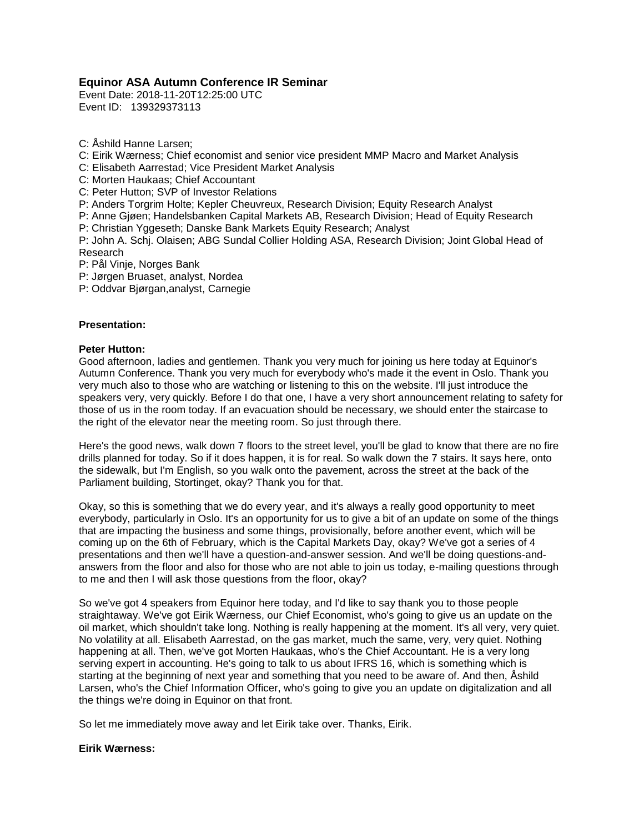# **Equinor ASA Autumn Conference IR Seminar**

Event Date: 2018-11-20T12:25:00 UTC Event ID: 139329373113

C: Åshild Hanne Larsen;

C: Eirik Wærness; Chief economist and senior vice president MMP Macro and Market Analysis

C: Elisabeth Aarrestad; Vice President Market Analysis

C: Morten Haukaas; Chief Accountant

C: Peter Hutton; SVP of Investor Relations

P: Anders Torgrim Holte; Kepler Cheuvreux, Research Division; Equity Research Analyst

P: Anne Gjøen; Handelsbanken Capital Markets AB, Research Division; Head of Equity Research P: Christian Yggeseth; Danske Bank Markets Equity Research; Analyst

P: John A. Schj. Olaisen; ABG Sundal Collier Holding ASA, Research Division; Joint Global Head of Research

P: Pål Vinje, Norges Bank

P: Jørgen Bruaset, analyst, Nordea

P: Oddvar Bjørgan,analyst, Carnegie

# **Presentation:**

# **Peter Hutton:**

Good afternoon, ladies and gentlemen. Thank you very much for joining us here today at Equinor's Autumn Conference. Thank you very much for everybody who's made it the event in Oslo. Thank you very much also to those who are watching or listening to this on the website. I'll just introduce the speakers very, very quickly. Before I do that one, I have a very short announcement relating to safety for those of us in the room today. If an evacuation should be necessary, we should enter the staircase to the right of the elevator near the meeting room. So just through there.

Here's the good news, walk down 7 floors to the street level, you'll be glad to know that there are no fire drills planned for today. So if it does happen, it is for real. So walk down the 7 stairs. It says here, onto the sidewalk, but I'm English, so you walk onto the pavement, across the street at the back of the Parliament building, Stortinget, okay? Thank you for that.

Okay, so this is something that we do every year, and it's always a really good opportunity to meet everybody, particularly in Oslo. It's an opportunity for us to give a bit of an update on some of the things that are impacting the business and some things, provisionally, before another event, which will be coming up on the 6th of February, which is the Capital Markets Day, okay? We've got a series of 4 presentations and then we'll have a question-and-answer session. And we'll be doing questions-andanswers from the floor and also for those who are not able to join us today, e-mailing questions through to me and then I will ask those questions from the floor, okay?

So we've got 4 speakers from Equinor here today, and I'd like to say thank you to those people straightaway. We've got Eirik Wærness, our Chief Economist, who's going to give us an update on the oil market, which shouldn't take long. Nothing is really happening at the moment. It's all very, very quiet. No volatility at all. Elisabeth Aarrestad, on the gas market, much the same, very, very quiet. Nothing happening at all. Then, we've got Morten Haukaas, who's the Chief Accountant. He is a very long serving expert in accounting. He's going to talk to us about IFRS 16, which is something which is starting at the beginning of next year and something that you need to be aware of. And then, Åshild Larsen, who's the Chief Information Officer, who's going to give you an update on digitalization and all the things we're doing in Equinor on that front.

So let me immediately move away and let Eirik take over. Thanks, Eirik.

# **Eirik Wærness:**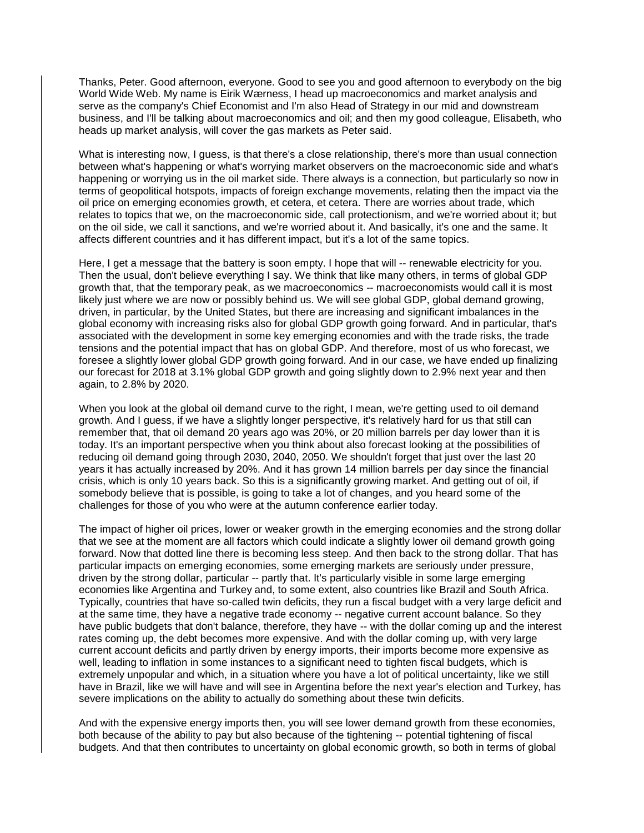Thanks, Peter. Good afternoon, everyone. Good to see you and good afternoon to everybody on the big World Wide Web. My name is Eirik Wærness, I head up macroeconomics and market analysis and serve as the company's Chief Economist and I'm also Head of Strategy in our mid and downstream business, and I'll be talking about macroeconomics and oil; and then my good colleague, Elisabeth, who heads up market analysis, will cover the gas markets as Peter said.

What is interesting now, I guess, is that there's a close relationship, there's more than usual connection between what's happening or what's worrying market observers on the macroeconomic side and what's happening or worrying us in the oil market side. There always is a connection, but particularly so now in terms of geopolitical hotspots, impacts of foreign exchange movements, relating then the impact via the oil price on emerging economies growth, et cetera, et cetera. There are worries about trade, which relates to topics that we, on the macroeconomic side, call protectionism, and we're worried about it; but on the oil side, we call it sanctions, and we're worried about it. And basically, it's one and the same. It affects different countries and it has different impact, but it's a lot of the same topics.

Here, I get a message that the battery is soon empty. I hope that will -- renewable electricity for you. Then the usual, don't believe everything I say. We think that like many others, in terms of global GDP growth that, that the temporary peak, as we macroeconomics -- macroeconomists would call it is most likely just where we are now or possibly behind us. We will see global GDP, global demand growing, driven, in particular, by the United States, but there are increasing and significant imbalances in the global economy with increasing risks also for global GDP growth going forward. And in particular, that's associated with the development in some key emerging economies and with the trade risks, the trade tensions and the potential impact that has on global GDP. And therefore, most of us who forecast, we foresee a slightly lower global GDP growth going forward. And in our case, we have ended up finalizing our forecast for 2018 at 3.1% global GDP growth and going slightly down to 2.9% next year and then again, to 2.8% by 2020.

When you look at the global oil demand curve to the right, I mean, we're getting used to oil demand growth. And I guess, if we have a slightly longer perspective, it's relatively hard for us that still can remember that, that oil demand 20 years ago was 20%, or 20 million barrels per day lower than it is today. It's an important perspective when you think about also forecast looking at the possibilities of reducing oil demand going through 2030, 2040, 2050. We shouldn't forget that just over the last 20 years it has actually increased by 20%. And it has grown 14 million barrels per day since the financial crisis, which is only 10 years back. So this is a significantly growing market. And getting out of oil, if somebody believe that is possible, is going to take a lot of changes, and you heard some of the challenges for those of you who were at the autumn conference earlier today.

The impact of higher oil prices, lower or weaker growth in the emerging economies and the strong dollar that we see at the moment are all factors which could indicate a slightly lower oil demand growth going forward. Now that dotted line there is becoming less steep. And then back to the strong dollar. That has particular impacts on emerging economies, some emerging markets are seriously under pressure, driven by the strong dollar, particular -- partly that. It's particularly visible in some large emerging economies like Argentina and Turkey and, to some extent, also countries like Brazil and South Africa. Typically, countries that have so-called twin deficits, they run a fiscal budget with a very large deficit and at the same time, they have a negative trade economy -- negative current account balance. So they have public budgets that don't balance, therefore, they have -- with the dollar coming up and the interest rates coming up, the debt becomes more expensive. And with the dollar coming up, with very large current account deficits and partly driven by energy imports, their imports become more expensive as well, leading to inflation in some instances to a significant need to tighten fiscal budgets, which is extremely unpopular and which, in a situation where you have a lot of political uncertainty, like we still have in Brazil, like we will have and will see in Argentina before the next year's election and Turkey, has severe implications on the ability to actually do something about these twin deficits.

And with the expensive energy imports then, you will see lower demand growth from these economies, both because of the ability to pay but also because of the tightening -- potential tightening of fiscal budgets. And that then contributes to uncertainty on global economic growth, so both in terms of global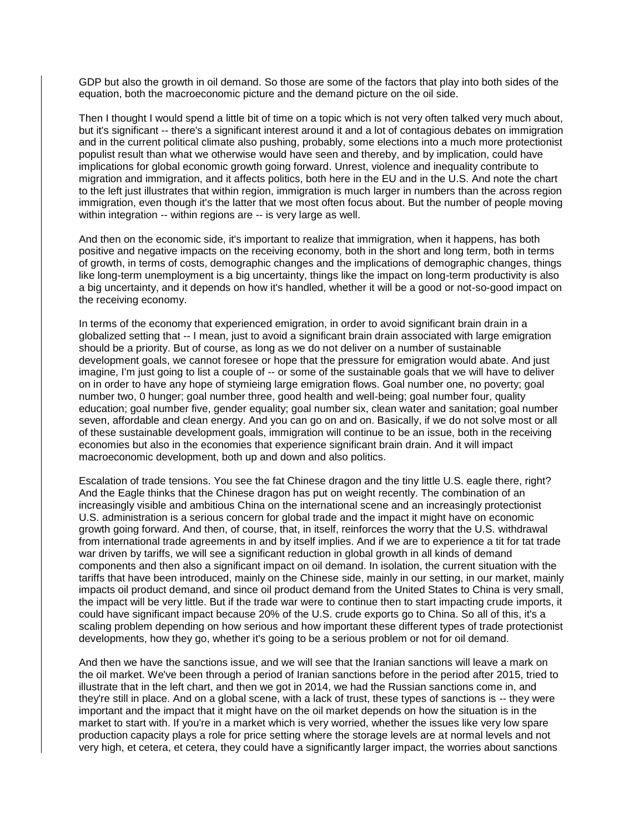GDP but also the growth in oil demand. So those are some of the factors that play into both sides of the equation, both the macroeconomic picture and the demand picture on the oil side.

Then I thought I would spend a little bit of time on a topic which is not very often talked very much about, but it's significant -- there's a significant interest around it and a lot of contagious debates on immigration and in the current political climate also pushing, probably, some elections into a much more protectionist populist result than what we otherwise would have seen and thereby, and by implication, could have implications for global economic growth going forward. Unrest, violence and inequality contribute to migration and immigration, and it affects politics, both here in the EU and in the U.S. And note the chart to the left just illustrates that within region, immigration is much larger in numbers than the across region immigration, even though it's the latter that we most often focus about. But the number of people moving within integration -- within regions are -- is very large as well.

And then on the economic side, it's important to realize that immigration, when it happens, has both positive and negative impacts on the receiving economy, both in the short and long term, both in terms of growth, in terms of costs, demographic changes and the implications of demographic changes, things like long-term unemployment is a big uncertainty, things like the impact on long-term productivity is also a big uncertainty, and it depends on how it's handled, whether it will be a good or not-so-good impact on the receiving economy.

In terms of the economy that experienced emigration, in order to avoid significant brain drain in a globalized setting that -- I mean, just to avoid a significant brain drain associated with large emigration should be a priority. But of course, as long as we do not deliver on a number of sustainable development goals, we cannot foresee or hope that the pressure for emigration would abate. And just imagine, I'm just going to list a couple of -- or some of the sustainable goals that we will have to deliver on in order to have any hope of stymieing large emigration flows. Goal number one, no poverty; goal number two, 0 hunger; goal number three, good health and well-being; goal number four, quality education; goal number five, gender equality; goal number six, clean water and sanitation; goal number seven, affordable and clean energy. And you can go on and on. Basically, if we do not solve most or all of these sustainable development goals, immigration will continue to be an issue, both in the receiving economies but also in the economies that experience significant brain drain. And it will impact macroeconomic development, both up and down and also politics.

Escalation of trade tensions. You see the fat Chinese dragon and the tiny little U.S. eagle there, right? And the Eagle thinks that the Chinese dragon has put on weight recently. The combination of an increasingly visible and ambitious China on the international scene and an increasingly protectionist U.S. administration is a serious concern for global trade and the impact it might have on economic growth going forward. And then, of course, that, in itself, reinforces the worry that the U.S. withdrawal from international trade agreements in and by itself implies. And if we are to experience a tit for tat trade war driven by tariffs, we will see a significant reduction in global growth in all kinds of demand components and then also a significant impact on oil demand. In isolation, the current situation with the tariffs that have been introduced, mainly on the Chinese side, mainly in our setting, in our market, mainly impacts oil product demand, and since oil product demand from the United States to China is very small, the impact will be very little. But if the trade war were to continue then to start impacting crude imports, it could have significant impact because 20% of the U.S. crude exports go to China. So all of this, it's a scaling problem depending on how serious and how important these different types of trade protectionist developments, how they go, whether it's going to be a serious problem or not for oil demand.

And then we have the sanctions issue, and we will see that the Iranian sanctions will leave a mark on the oil market. We've been through a period of Iranian sanctions before in the period after 2015, tried to illustrate that in the left chart, and then we got in 2014, we had the Russian sanctions come in, and they're still in place. And on a global scene, with a lack of trust, these types of sanctions is -- they were important and the impact that it might have on the oil market depends on how the situation is in the market to start with. If you're in a market which is very worried, whether the issues like very low spare production capacity plays a role for price setting where the storage levels are at normal levels and not very high, et cetera, et cetera, they could have a significantly larger impact, the worries about sanctions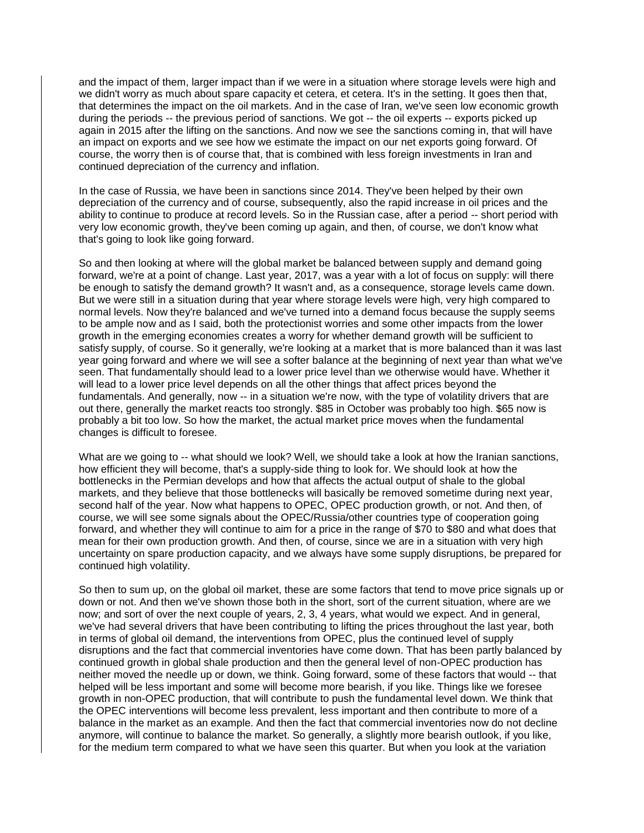and the impact of them, larger impact than if we were in a situation where storage levels were high and we didn't worry as much about spare capacity et cetera, et cetera, It's in the setting. It goes then that, that determines the impact on the oil markets. And in the case of Iran, we've seen low economic growth during the periods -- the previous period of sanctions. We got -- the oil experts -- exports picked up again in 2015 after the lifting on the sanctions. And now we see the sanctions coming in, that will have an impact on exports and we see how we estimate the impact on our net exports going forward. Of course, the worry then is of course that, that is combined with less foreign investments in Iran and continued depreciation of the currency and inflation.

In the case of Russia, we have been in sanctions since 2014. They've been helped by their own depreciation of the currency and of course, subsequently, also the rapid increase in oil prices and the ability to continue to produce at record levels. So in the Russian case, after a period -- short period with very low economic growth, they've been coming up again, and then, of course, we don't know what that's going to look like going forward.

So and then looking at where will the global market be balanced between supply and demand going forward, we're at a point of change. Last year, 2017, was a year with a lot of focus on supply: will there be enough to satisfy the demand growth? It wasn't and, as a consequence, storage levels came down. But we were still in a situation during that year where storage levels were high, very high compared to normal levels. Now they're balanced and we've turned into a demand focus because the supply seems to be ample now and as I said, both the protectionist worries and some other impacts from the lower growth in the emerging economies creates a worry for whether demand growth will be sufficient to satisfy supply, of course. So it generally, we're looking at a market that is more balanced than it was last year going forward and where we will see a softer balance at the beginning of next year than what we've seen. That fundamentally should lead to a lower price level than we otherwise would have. Whether it will lead to a lower price level depends on all the other things that affect prices beyond the fundamentals. And generally, now -- in a situation we're now, with the type of volatility drivers that are out there, generally the market reacts too strongly. \$85 in October was probably too high. \$65 now is probably a bit too low. So how the market, the actual market price moves when the fundamental changes is difficult to foresee.

What are we going to -- what should we look? Well, we should take a look at how the Iranian sanctions, how efficient they will become, that's a supply-side thing to look for. We should look at how the bottlenecks in the Permian develops and how that affects the actual output of shale to the global markets, and they believe that those bottlenecks will basically be removed sometime during next year, second half of the year. Now what happens to OPEC, OPEC production growth, or not. And then, of course, we will see some signals about the OPEC/Russia/other countries type of cooperation going forward, and whether they will continue to aim for a price in the range of \$70 to \$80 and what does that mean for their own production growth. And then, of course, since we are in a situation with very high uncertainty on spare production capacity, and we always have some supply disruptions, be prepared for continued high volatility.

So then to sum up, on the global oil market, these are some factors that tend to move price signals up or down or not. And then we've shown those both in the short, sort of the current situation, where are we now; and sort of over the next couple of years, 2, 3, 4 years, what would we expect. And in general, we've had several drivers that have been contributing to lifting the prices throughout the last year, both in terms of global oil demand, the interventions from OPEC, plus the continued level of supply disruptions and the fact that commercial inventories have come down. That has been partly balanced by continued growth in global shale production and then the general level of non-OPEC production has neither moved the needle up or down, we think. Going forward, some of these factors that would -- that helped will be less important and some will become more bearish, if you like. Things like we foresee growth in non-OPEC production, that will contribute to push the fundamental level down. We think that the OPEC interventions will become less prevalent, less important and then contribute to more of a balance in the market as an example. And then the fact that commercial inventories now do not decline anymore, will continue to balance the market. So generally, a slightly more bearish outlook, if you like, for the medium term compared to what we have seen this quarter. But when you look at the variation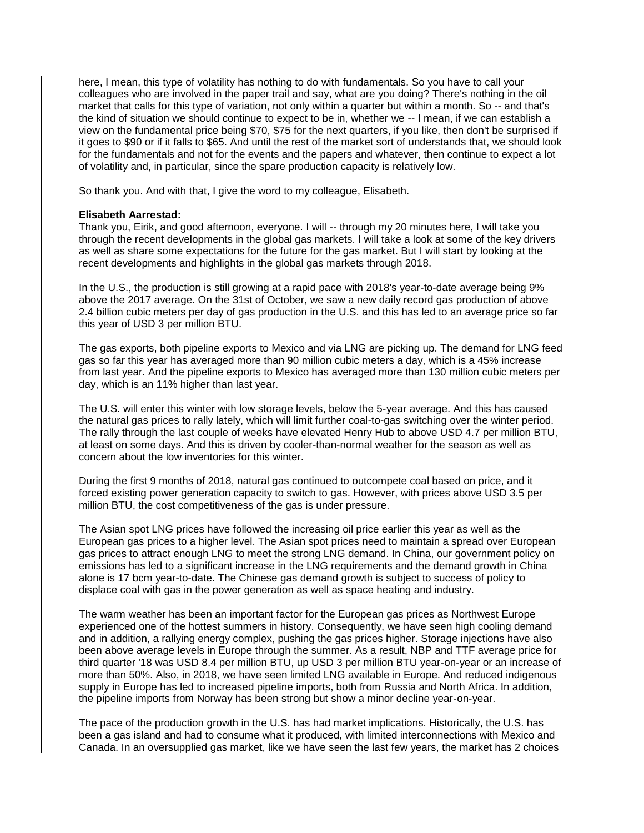here, I mean, this type of volatility has nothing to do with fundamentals. So you have to call your colleagues who are involved in the paper trail and say, what are you doing? There's nothing in the oil market that calls for this type of variation, not only within a quarter but within a month. So -- and that's the kind of situation we should continue to expect to be in, whether we -- I mean, if we can establish a view on the fundamental price being \$70, \$75 for the next quarters, if you like, then don't be surprised if it goes to \$90 or if it falls to \$65. And until the rest of the market sort of understands that, we should look for the fundamentals and not for the events and the papers and whatever, then continue to expect a lot of volatility and, in particular, since the spare production capacity is relatively low.

So thank you. And with that, I give the word to my colleague, Elisabeth.

### **Elisabeth Aarrestad:**

Thank you, Eirik, and good afternoon, everyone. I will -- through my 20 minutes here, I will take you through the recent developments in the global gas markets. I will take a look at some of the key drivers as well as share some expectations for the future for the gas market. But I will start by looking at the recent developments and highlights in the global gas markets through 2018.

In the U.S., the production is still growing at a rapid pace with 2018's year-to-date average being 9% above the 2017 average. On the 31st of October, we saw a new daily record gas production of above 2.4 billion cubic meters per day of gas production in the U.S. and this has led to an average price so far this year of USD 3 per million BTU.

The gas exports, both pipeline exports to Mexico and via LNG are picking up. The demand for LNG feed gas so far this year has averaged more than 90 million cubic meters a day, which is a 45% increase from last year. And the pipeline exports to Mexico has averaged more than 130 million cubic meters per day, which is an 11% higher than last year.

The U.S. will enter this winter with low storage levels, below the 5-year average. And this has caused the natural gas prices to rally lately, which will limit further coal-to-gas switching over the winter period. The rally through the last couple of weeks have elevated Henry Hub to above USD 4.7 per million BTU, at least on some days. And this is driven by cooler-than-normal weather for the season as well as concern about the low inventories for this winter.

During the first 9 months of 2018, natural gas continued to outcompete coal based on price, and it forced existing power generation capacity to switch to gas. However, with prices above USD 3.5 per million BTU, the cost competitiveness of the gas is under pressure.

The Asian spot LNG prices have followed the increasing oil price earlier this year as well as the European gas prices to a higher level. The Asian spot prices need to maintain a spread over European gas prices to attract enough LNG to meet the strong LNG demand. In China, our government policy on emissions has led to a significant increase in the LNG requirements and the demand growth in China alone is 17 bcm year-to-date. The Chinese gas demand growth is subject to success of policy to displace coal with gas in the power generation as well as space heating and industry.

The warm weather has been an important factor for the European gas prices as Northwest Europe experienced one of the hottest summers in history. Consequently, we have seen high cooling demand and in addition, a rallying energy complex, pushing the gas prices higher. Storage injections have also been above average levels in Europe through the summer. As a result, NBP and TTF average price for third quarter '18 was USD 8.4 per million BTU, up USD 3 per million BTU year-on-year or an increase of more than 50%. Also, in 2018, we have seen limited LNG available in Europe. And reduced indigenous supply in Europe has led to increased pipeline imports, both from Russia and North Africa. In addition, the pipeline imports from Norway has been strong but show a minor decline year-on-year.

The pace of the production growth in the U.S. has had market implications. Historically, the U.S. has been a gas island and had to consume what it produced, with limited interconnections with Mexico and Canada. In an oversupplied gas market, like we have seen the last few years, the market has 2 choices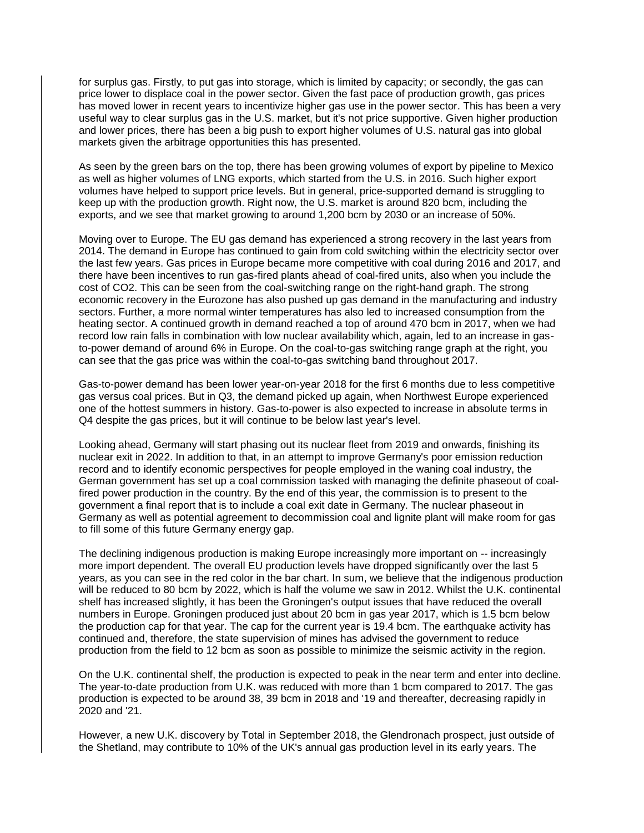for surplus gas. Firstly, to put gas into storage, which is limited by capacity; or secondly, the gas can price lower to displace coal in the power sector. Given the fast pace of production growth, gas prices has moved lower in recent years to incentivize higher gas use in the power sector. This has been a very useful way to clear surplus gas in the U.S. market, but it's not price supportive. Given higher production and lower prices, there has been a big push to export higher volumes of U.S. natural gas into global markets given the arbitrage opportunities this has presented.

As seen by the green bars on the top, there has been growing volumes of export by pipeline to Mexico as well as higher volumes of LNG exports, which started from the U.S. in 2016. Such higher export volumes have helped to support price levels. But in general, price-supported demand is struggling to keep up with the production growth. Right now, the U.S. market is around 820 bcm, including the exports, and we see that market growing to around 1,200 bcm by 2030 or an increase of 50%.

Moving over to Europe. The EU gas demand has experienced a strong recovery in the last years from 2014. The demand in Europe has continued to gain from cold switching within the electricity sector over the last few years. Gas prices in Europe became more competitive with coal during 2016 and 2017, and there have been incentives to run gas-fired plants ahead of coal-fired units, also when you include the cost of CO2. This can be seen from the coal-switching range on the right-hand graph. The strong economic recovery in the Eurozone has also pushed up gas demand in the manufacturing and industry sectors. Further, a more normal winter temperatures has also led to increased consumption from the heating sector. A continued growth in demand reached a top of around 470 bcm in 2017, when we had record low rain falls in combination with low nuclear availability which, again, led to an increase in gasto-power demand of around 6% in Europe. On the coal-to-gas switching range graph at the right, you can see that the gas price was within the coal-to-gas switching band throughout 2017.

Gas-to-power demand has been lower year-on-year 2018 for the first 6 months due to less competitive gas versus coal prices. But in Q3, the demand picked up again, when Northwest Europe experienced one of the hottest summers in history. Gas-to-power is also expected to increase in absolute terms in Q4 despite the gas prices, but it will continue to be below last year's level.

Looking ahead, Germany will start phasing out its nuclear fleet from 2019 and onwards, finishing its nuclear exit in 2022. In addition to that, in an attempt to improve Germany's poor emission reduction record and to identify economic perspectives for people employed in the waning coal industry, the German government has set up a coal commission tasked with managing the definite phaseout of coalfired power production in the country. By the end of this year, the commission is to present to the government a final report that is to include a coal exit date in Germany. The nuclear phaseout in Germany as well as potential agreement to decommission coal and lignite plant will make room for gas to fill some of this future Germany energy gap.

The declining indigenous production is making Europe increasingly more important on -- increasingly more import dependent. The overall EU production levels have dropped significantly over the last 5 years, as you can see in the red color in the bar chart. In sum, we believe that the indigenous production will be reduced to 80 bcm by 2022, which is half the volume we saw in 2012. Whilst the U.K. continental shelf has increased slightly, it has been the Groningen's output issues that have reduced the overall numbers in Europe. Groningen produced just about 20 bcm in gas year 2017, which is 1.5 bcm below the production cap for that year. The cap for the current year is 19.4 bcm. The earthquake activity has continued and, therefore, the state supervision of mines has advised the government to reduce production from the field to 12 bcm as soon as possible to minimize the seismic activity in the region.

On the U.K. continental shelf, the production is expected to peak in the near term and enter into decline. The year-to-date production from U.K. was reduced with more than 1 bcm compared to 2017. The gas production is expected to be around 38, 39 bcm in 2018 and '19 and thereafter, decreasing rapidly in 2020 and '21.

However, a new U.K. discovery by Total in September 2018, the Glendronach prospect, just outside of the Shetland, may contribute to 10% of the UK's annual gas production level in its early years. The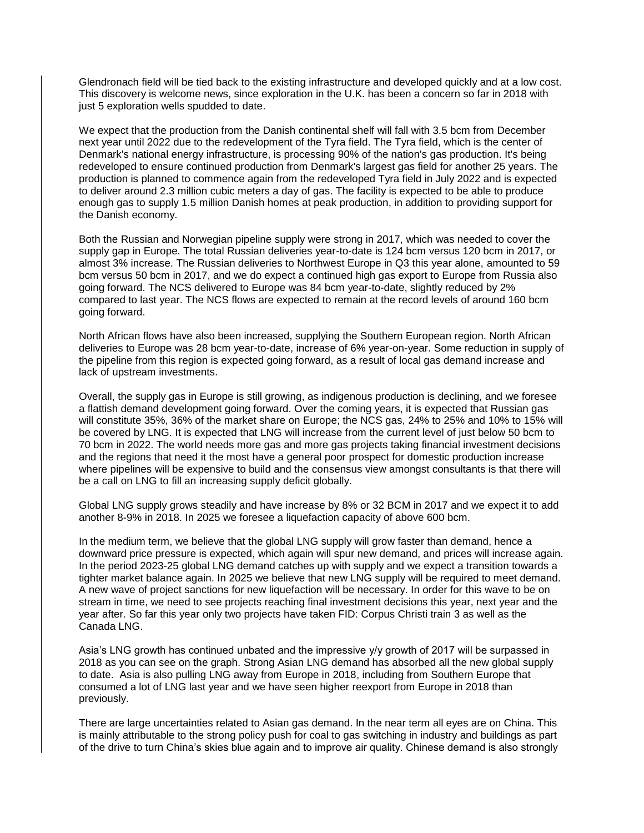Glendronach field will be tied back to the existing infrastructure and developed quickly and at a low cost. This discovery is welcome news, since exploration in the U.K. has been a concern so far in 2018 with just 5 exploration wells spudded to date.

We expect that the production from the Danish continental shelf will fall with 3.5 bcm from December next year until 2022 due to the redevelopment of the Tyra field. The Tyra field, which is the center of Denmark's national energy infrastructure, is processing 90% of the nation's gas production. It's being redeveloped to ensure continued production from Denmark's largest gas field for another 25 years. The production is planned to commence again from the redeveloped Tyra field in July 2022 and is expected to deliver around 2.3 million cubic meters a day of gas. The facility is expected to be able to produce enough gas to supply 1.5 million Danish homes at peak production, in addition to providing support for the Danish economy.

Both the Russian and Norwegian pipeline supply were strong in 2017, which was needed to cover the supply gap in Europe. The total Russian deliveries year-to-date is 124 bcm versus 120 bcm in 2017, or almost 3% increase. The Russian deliveries to Northwest Europe in Q3 this year alone, amounted to 59 bcm versus 50 bcm in 2017, and we do expect a continued high gas export to Europe from Russia also going forward. The NCS delivered to Europe was 84 bcm year-to-date, slightly reduced by 2% compared to last year. The NCS flows are expected to remain at the record levels of around 160 bcm going forward.

North African flows have also been increased, supplying the Southern European region. North African deliveries to Europe was 28 bcm year-to-date, increase of 6% year-on-year. Some reduction in supply of the pipeline from this region is expected going forward, as a result of local gas demand increase and lack of upstream investments.

Overall, the supply gas in Europe is still growing, as indigenous production is declining, and we foresee a flattish demand development going forward. Over the coming years, it is expected that Russian gas will constitute 35%, 36% of the market share on Europe; the NCS gas, 24% to 25% and 10% to 15% will be covered by LNG. It is expected that LNG will increase from the current level of just below 50 bcm to 70 bcm in 2022. The world needs more gas and more gas projects taking financial investment decisions and the regions that need it the most have a general poor prospect for domestic production increase where pipelines will be expensive to build and the consensus view amongst consultants is that there will be a call on LNG to fill an increasing supply deficit globally.

Global LNG supply grows steadily and have increase by 8% or 32 BCM in 2017 and we expect it to add another 8-9% in 2018. In 2025 we foresee a liquefaction capacity of above 600 bcm.

In the medium term, we believe that the global LNG supply will grow faster than demand, hence a downward price pressure is expected, which again will spur new demand, and prices will increase again. In the period 2023-25 global LNG demand catches up with supply and we expect a transition towards a tighter market balance again. In 2025 we believe that new LNG supply will be required to meet demand. A new wave of project sanctions for new liquefaction will be necessary. In order for this wave to be on stream in time, we need to see projects reaching final investment decisions this year, next year and the year after. So far this year only two projects have taken FID: Corpus Christi train 3 as well as the Canada LNG.

Asia's LNG growth has continued unbated and the impressive y/y growth of 2017 will be surpassed in 2018 as you can see on the graph. Strong Asian LNG demand has absorbed all the new global supply to date. Asia is also pulling LNG away from Europe in 2018, including from Southern Europe that consumed a lot of LNG last year and we have seen higher reexport from Europe in 2018 than previously.

There are large uncertainties related to Asian gas demand. In the near term all eyes are on China. This is mainly attributable to the strong policy push for coal to gas switching in industry and buildings as part of the drive to turn China's skies blue again and to improve air quality. Chinese demand is also strongly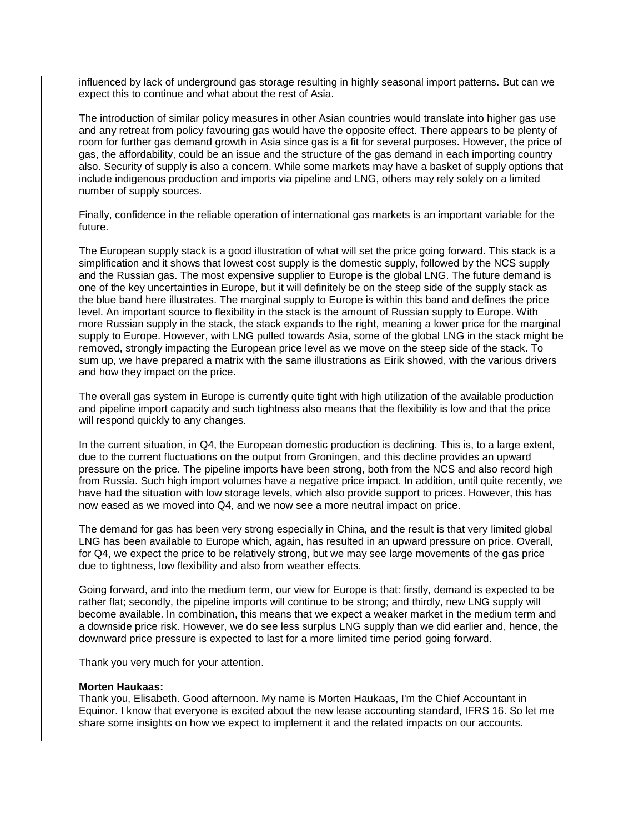influenced by lack of underground gas storage resulting in highly seasonal import patterns. But can we expect this to continue and what about the rest of Asia.

The introduction of similar policy measures in other Asian countries would translate into higher gas use and any retreat from policy favouring gas would have the opposite effect. There appears to be plenty of room for further gas demand growth in Asia since gas is a fit for several purposes. However, the price of gas, the affordability, could be an issue and the structure of the gas demand in each importing country also. Security of supply is also a concern. While some markets may have a basket of supply options that include indigenous production and imports via pipeline and LNG, others may rely solely on a limited number of supply sources.

Finally, confidence in the reliable operation of international gas markets is an important variable for the future.

The European supply stack is a good illustration of what will set the price going forward. This stack is a simplification and it shows that lowest cost supply is the domestic supply, followed by the NCS supply and the Russian gas. The most expensive supplier to Europe is the global LNG. The future demand is one of the key uncertainties in Europe, but it will definitely be on the steep side of the supply stack as the blue band here illustrates. The marginal supply to Europe is within this band and defines the price level. An important source to flexibility in the stack is the amount of Russian supply to Europe. With more Russian supply in the stack, the stack expands to the right, meaning a lower price for the marginal supply to Europe. However, with LNG pulled towards Asia, some of the global LNG in the stack might be removed, strongly impacting the European price level as we move on the steep side of the stack. To sum up, we have prepared a matrix with the same illustrations as Eirik showed, with the various drivers and how they impact on the price.

The overall gas system in Europe is currently quite tight with high utilization of the available production and pipeline import capacity and such tightness also means that the flexibility is low and that the price will respond quickly to any changes.

In the current situation, in Q4, the European domestic production is declining. This is, to a large extent, due to the current fluctuations on the output from Groningen, and this decline provides an upward pressure on the price. The pipeline imports have been strong, both from the NCS and also record high from Russia. Such high import volumes have a negative price impact. In addition, until quite recently, we have had the situation with low storage levels, which also provide support to prices. However, this has now eased as we moved into Q4, and we now see a more neutral impact on price.

The demand for gas has been very strong especially in China, and the result is that very limited global LNG has been available to Europe which, again, has resulted in an upward pressure on price. Overall, for Q4, we expect the price to be relatively strong, but we may see large movements of the gas price due to tightness, low flexibility and also from weather effects.

Going forward, and into the medium term, our view for Europe is that: firstly, demand is expected to be rather flat; secondly, the pipeline imports will continue to be strong; and thirdly, new LNG supply will become available. In combination, this means that we expect a weaker market in the medium term and a downside price risk. However, we do see less surplus LNG supply than we did earlier and, hence, the downward price pressure is expected to last for a more limited time period going forward.

Thank you very much for your attention.

#### **Morten Haukaas:**

Thank you, Elisabeth. Good afternoon. My name is Morten Haukaas, I'm the Chief Accountant in Equinor. I know that everyone is excited about the new lease accounting standard, IFRS 16. So let me share some insights on how we expect to implement it and the related impacts on our accounts.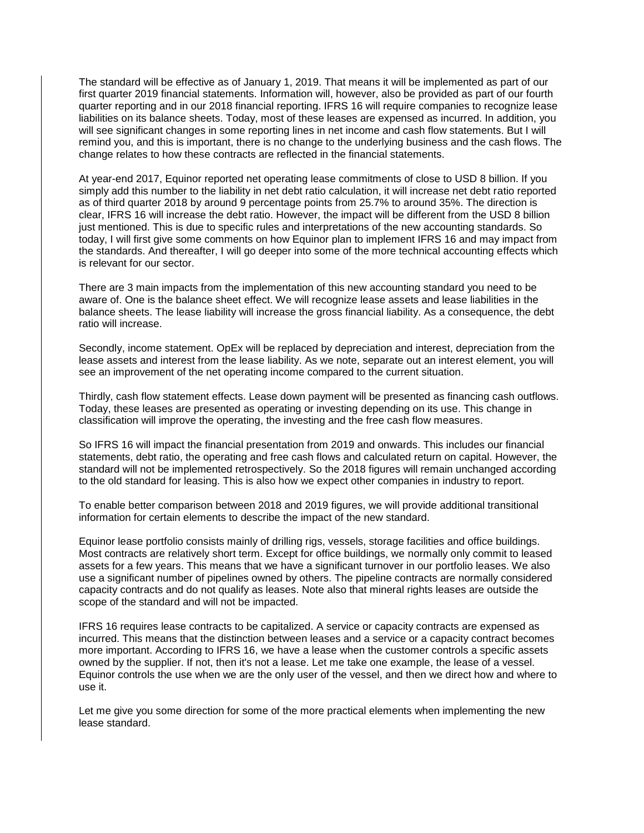The standard will be effective as of January 1, 2019. That means it will be implemented as part of our first quarter 2019 financial statements. Information will, however, also be provided as part of our fourth quarter reporting and in our 2018 financial reporting. IFRS 16 will require companies to recognize lease liabilities on its balance sheets. Today, most of these leases are expensed as incurred. In addition, you will see significant changes in some reporting lines in net income and cash flow statements. But I will remind you, and this is important, there is no change to the underlying business and the cash flows. The change relates to how these contracts are reflected in the financial statements.

At year-end 2017, Equinor reported net operating lease commitments of close to USD 8 billion. If you simply add this number to the liability in net debt ratio calculation, it will increase net debt ratio reported as of third quarter 2018 by around 9 percentage points from 25.7% to around 35%. The direction is clear, IFRS 16 will increase the debt ratio. However, the impact will be different from the USD 8 billion just mentioned. This is due to specific rules and interpretations of the new accounting standards. So today, I will first give some comments on how Equinor plan to implement IFRS 16 and may impact from the standards. And thereafter, I will go deeper into some of the more technical accounting effects which is relevant for our sector.

There are 3 main impacts from the implementation of this new accounting standard you need to be aware of. One is the balance sheet effect. We will recognize lease assets and lease liabilities in the balance sheets. The lease liability will increase the gross financial liability. As a consequence, the debt ratio will increase.

Secondly, income statement. OpEx will be replaced by depreciation and interest, depreciation from the lease assets and interest from the lease liability. As we note, separate out an interest element, you will see an improvement of the net operating income compared to the current situation.

Thirdly, cash flow statement effects. Lease down payment will be presented as financing cash outflows. Today, these leases are presented as operating or investing depending on its use. This change in classification will improve the operating, the investing and the free cash flow measures.

So IFRS 16 will impact the financial presentation from 2019 and onwards. This includes our financial statements, debt ratio, the operating and free cash flows and calculated return on capital. However, the standard will not be implemented retrospectively. So the 2018 figures will remain unchanged according to the old standard for leasing. This is also how we expect other companies in industry to report.

To enable better comparison between 2018 and 2019 figures, we will provide additional transitional information for certain elements to describe the impact of the new standard.

Equinor lease portfolio consists mainly of drilling rigs, vessels, storage facilities and office buildings. Most contracts are relatively short term. Except for office buildings, we normally only commit to leased assets for a few years. This means that we have a significant turnover in our portfolio leases. We also use a significant number of pipelines owned by others. The pipeline contracts are normally considered capacity contracts and do not qualify as leases. Note also that mineral rights leases are outside the scope of the standard and will not be impacted.

IFRS 16 requires lease contracts to be capitalized. A service or capacity contracts are expensed as incurred. This means that the distinction between leases and a service or a capacity contract becomes more important. According to IFRS 16, we have a lease when the customer controls a specific assets owned by the supplier. If not, then it's not a lease. Let me take one example, the lease of a vessel. Equinor controls the use when we are the only user of the vessel, and then we direct how and where to use it.

Let me give you some direction for some of the more practical elements when implementing the new lease standard.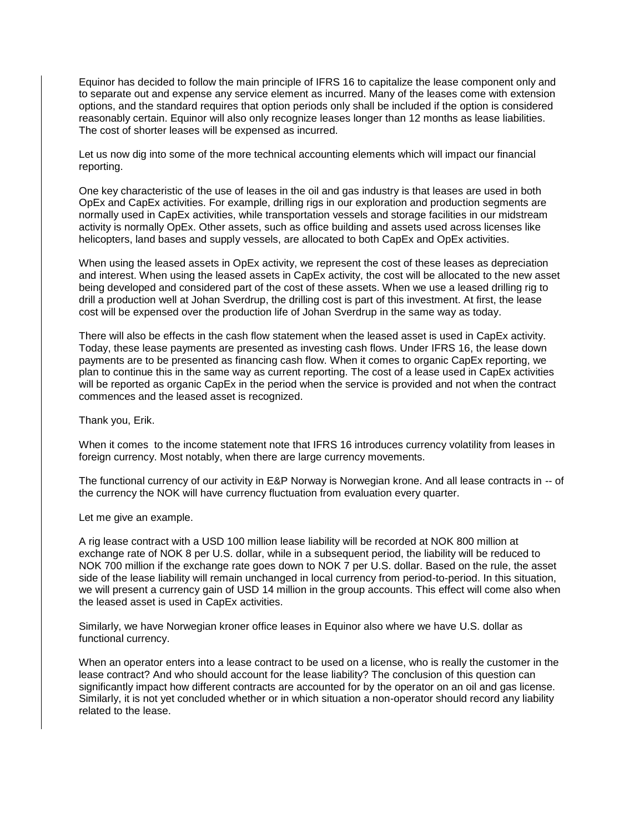Equinor has decided to follow the main principle of IFRS 16 to capitalize the lease component only and to separate out and expense any service element as incurred. Many of the leases come with extension options, and the standard requires that option periods only shall be included if the option is considered reasonably certain. Equinor will also only recognize leases longer than 12 months as lease liabilities. The cost of shorter leases will be expensed as incurred.

Let us now dig into some of the more technical accounting elements which will impact our financial reporting.

One key characteristic of the use of leases in the oil and gas industry is that leases are used in both OpEx and CapEx activities. For example, drilling rigs in our exploration and production segments are normally used in CapEx activities, while transportation vessels and storage facilities in our midstream activity is normally OpEx. Other assets, such as office building and assets used across licenses like helicopters, land bases and supply vessels, are allocated to both CapEx and OpEx activities.

When using the leased assets in OpEx activity, we represent the cost of these leases as depreciation and interest. When using the leased assets in CapEx activity, the cost will be allocated to the new asset being developed and considered part of the cost of these assets. When we use a leased drilling rig to drill a production well at Johan Sverdrup, the drilling cost is part of this investment. At first, the lease cost will be expensed over the production life of Johan Sverdrup in the same way as today.

There will also be effects in the cash flow statement when the leased asset is used in CapEx activity. Today, these lease payments are presented as investing cash flows. Under IFRS 16, the lease down payments are to be presented as financing cash flow. When it comes to organic CapEx reporting, we plan to continue this in the same way as current reporting. The cost of a lease used in CapEx activities will be reported as organic CapEx in the period when the service is provided and not when the contract commences and the leased asset is recognized.

Thank you, Erik.

When it comes to the income statement note that IFRS 16 introduces currency volatility from leases in foreign currency. Most notably, when there are large currency movements.

The functional currency of our activity in E&P Norway is Norwegian krone. And all lease contracts in -- of the currency the NOK will have currency fluctuation from evaluation every quarter.

Let me give an example.

A rig lease contract with a USD 100 million lease liability will be recorded at NOK 800 million at exchange rate of NOK 8 per U.S. dollar, while in a subsequent period, the liability will be reduced to NOK 700 million if the exchange rate goes down to NOK 7 per U.S. dollar. Based on the rule, the asset side of the lease liability will remain unchanged in local currency from period-to-period. In this situation, we will present a currency gain of USD 14 million in the group accounts. This effect will come also when the leased asset is used in CapEx activities.

Similarly, we have Norwegian kroner office leases in Equinor also where we have U.S. dollar as functional currency.

When an operator enters into a lease contract to be used on a license, who is really the customer in the lease contract? And who should account for the lease liability? The conclusion of this question can significantly impact how different contracts are accounted for by the operator on an oil and gas license. Similarly, it is not yet concluded whether or in which situation a non-operator should record any liability related to the lease.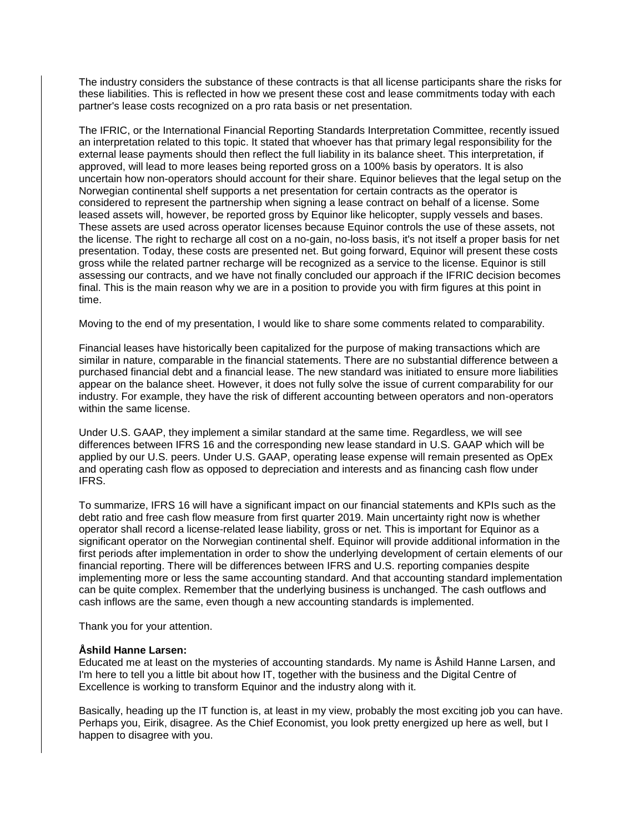The industry considers the substance of these contracts is that all license participants share the risks for these liabilities. This is reflected in how we present these cost and lease commitments today with each partner's lease costs recognized on a pro rata basis or net presentation.

The IFRIC, or the International Financial Reporting Standards Interpretation Committee, recently issued an interpretation related to this topic. It stated that whoever has that primary legal responsibility for the external lease payments should then reflect the full liability in its balance sheet. This interpretation, if approved, will lead to more leases being reported gross on a 100% basis by operators. It is also uncertain how non-operators should account for their share. Equinor believes that the legal setup on the Norwegian continental shelf supports a net presentation for certain contracts as the operator is considered to represent the partnership when signing a lease contract on behalf of a license. Some leased assets will, however, be reported gross by Equinor like helicopter, supply vessels and bases. These assets are used across operator licenses because Equinor controls the use of these assets, not the license. The right to recharge all cost on a no-gain, no-loss basis, it's not itself a proper basis for net presentation. Today, these costs are presented net. But going forward, Equinor will present these costs gross while the related partner recharge will be recognized as a service to the license. Equinor is still assessing our contracts, and we have not finally concluded our approach if the IFRIC decision becomes final. This is the main reason why we are in a position to provide you with firm figures at this point in time.

Moving to the end of my presentation, I would like to share some comments related to comparability.

Financial leases have historically been capitalized for the purpose of making transactions which are similar in nature, comparable in the financial statements. There are no substantial difference between a purchased financial debt and a financial lease. The new standard was initiated to ensure more liabilities appear on the balance sheet. However, it does not fully solve the issue of current comparability for our industry. For example, they have the risk of different accounting between operators and non-operators within the same license.

Under U.S. GAAP, they implement a similar standard at the same time. Regardless, we will see differences between IFRS 16 and the corresponding new lease standard in U.S. GAAP which will be applied by our U.S. peers. Under U.S. GAAP, operating lease expense will remain presented as OpEx and operating cash flow as opposed to depreciation and interests and as financing cash flow under IFRS.

To summarize, IFRS 16 will have a significant impact on our financial statements and KPIs such as the debt ratio and free cash flow measure from first quarter 2019. Main uncertainty right now is whether operator shall record a license-related lease liability, gross or net. This is important for Equinor as a significant operator on the Norwegian continental shelf. Equinor will provide additional information in the first periods after implementation in order to show the underlying development of certain elements of our financial reporting. There will be differences between IFRS and U.S. reporting companies despite implementing more or less the same accounting standard. And that accounting standard implementation can be quite complex. Remember that the underlying business is unchanged. The cash outflows and cash inflows are the same, even though a new accounting standards is implemented.

Thank you for your attention.

### **Åshild Hanne Larsen:**

Educated me at least on the mysteries of accounting standards. My name is Åshild Hanne Larsen, and I'm here to tell you a little bit about how IT, together with the business and the Digital Centre of Excellence is working to transform Equinor and the industry along with it.

Basically, heading up the IT function is, at least in my view, probably the most exciting job you can have. Perhaps you, Eirik, disagree. As the Chief Economist, you look pretty energized up here as well, but I happen to disagree with you.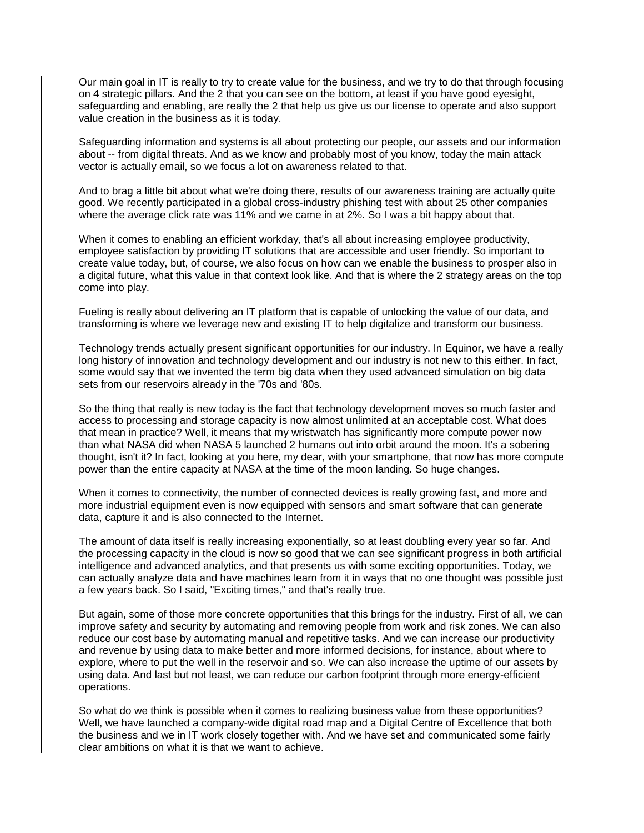Our main goal in IT is really to try to create value for the business, and we try to do that through focusing on 4 strategic pillars. And the 2 that you can see on the bottom, at least if you have good eyesight, safeguarding and enabling, are really the 2 that help us give us our license to operate and also support value creation in the business as it is today.

Safeguarding information and systems is all about protecting our people, our assets and our information about -- from digital threats. And as we know and probably most of you know, today the main attack vector is actually email, so we focus a lot on awareness related to that.

And to brag a little bit about what we're doing there, results of our awareness training are actually quite good. We recently participated in a global cross-industry phishing test with about 25 other companies where the average click rate was 11% and we came in at 2%. So I was a bit happy about that.

When it comes to enabling an efficient workday, that's all about increasing employee productivity, employee satisfaction by providing IT solutions that are accessible and user friendly. So important to create value today, but, of course, we also focus on how can we enable the business to prosper also in a digital future, what this value in that context look like. And that is where the 2 strategy areas on the top come into play.

Fueling is really about delivering an IT platform that is capable of unlocking the value of our data, and transforming is where we leverage new and existing IT to help digitalize and transform our business.

Technology trends actually present significant opportunities for our industry. In Equinor, we have a really long history of innovation and technology development and our industry is not new to this either. In fact, some would say that we invented the term big data when they used advanced simulation on big data sets from our reservoirs already in the '70s and '80s.

So the thing that really is new today is the fact that technology development moves so much faster and access to processing and storage capacity is now almost unlimited at an acceptable cost. What does that mean in practice? Well, it means that my wristwatch has significantly more compute power now than what NASA did when NASA 5 launched 2 humans out into orbit around the moon. It's a sobering thought, isn't it? In fact, looking at you here, my dear, with your smartphone, that now has more compute power than the entire capacity at NASA at the time of the moon landing. So huge changes.

When it comes to connectivity, the number of connected devices is really growing fast, and more and more industrial equipment even is now equipped with sensors and smart software that can generate data, capture it and is also connected to the Internet.

The amount of data itself is really increasing exponentially, so at least doubling every year so far. And the processing capacity in the cloud is now so good that we can see significant progress in both artificial intelligence and advanced analytics, and that presents us with some exciting opportunities. Today, we can actually analyze data and have machines learn from it in ways that no one thought was possible just a few years back. So I said, "Exciting times," and that's really true.

But again, some of those more concrete opportunities that this brings for the industry. First of all, we can improve safety and security by automating and removing people from work and risk zones. We can also reduce our cost base by automating manual and repetitive tasks. And we can increase our productivity and revenue by using data to make better and more informed decisions, for instance, about where to explore, where to put the well in the reservoir and so. We can also increase the uptime of our assets by using data. And last but not least, we can reduce our carbon footprint through more energy-efficient operations.

So what do we think is possible when it comes to realizing business value from these opportunities? Well, we have launched a company-wide digital road map and a Digital Centre of Excellence that both the business and we in IT work closely together with. And we have set and communicated some fairly clear ambitions on what it is that we want to achieve.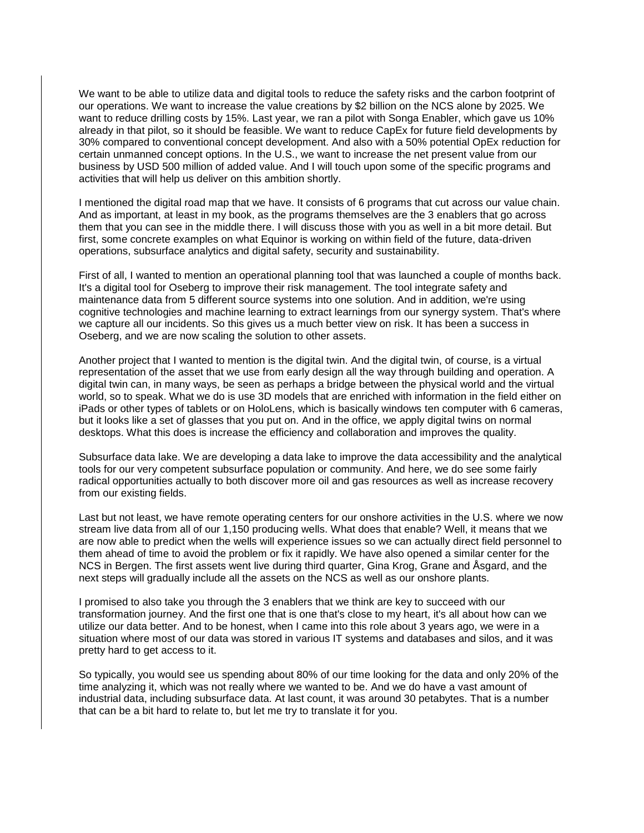We want to be able to utilize data and digital tools to reduce the safety risks and the carbon footprint of our operations. We want to increase the value creations by \$2 billion on the NCS alone by 2025. We want to reduce drilling costs by 15%. Last year, we ran a pilot with Songa Enabler, which gave us 10% already in that pilot, so it should be feasible. We want to reduce CapEx for future field developments by 30% compared to conventional concept development. And also with a 50% potential OpEx reduction for certain unmanned concept options. In the U.S., we want to increase the net present value from our business by USD 500 million of added value. And I will touch upon some of the specific programs and activities that will help us deliver on this ambition shortly.

I mentioned the digital road map that we have. It consists of 6 programs that cut across our value chain. And as important, at least in my book, as the programs themselves are the 3 enablers that go across them that you can see in the middle there. I will discuss those with you as well in a bit more detail. But first, some concrete examples on what Equinor is working on within field of the future, data-driven operations, subsurface analytics and digital safety, security and sustainability.

First of all, I wanted to mention an operational planning tool that was launched a couple of months back. It's a digital tool for Oseberg to improve their risk management. The tool integrate safety and maintenance data from 5 different source systems into one solution. And in addition, we're using cognitive technologies and machine learning to extract learnings from our synergy system. That's where we capture all our incidents. So this gives us a much better view on risk. It has been a success in Oseberg, and we are now scaling the solution to other assets.

Another project that I wanted to mention is the digital twin. And the digital twin, of course, is a virtual representation of the asset that we use from early design all the way through building and operation. A digital twin can, in many ways, be seen as perhaps a bridge between the physical world and the virtual world, so to speak. What we do is use 3D models that are enriched with information in the field either on iPads or other types of tablets or on HoloLens, which is basically windows ten computer with 6 cameras, but it looks like a set of glasses that you put on. And in the office, we apply digital twins on normal desktops. What this does is increase the efficiency and collaboration and improves the quality.

Subsurface data lake. We are developing a data lake to improve the data accessibility and the analytical tools for our very competent subsurface population or community. And here, we do see some fairly radical opportunities actually to both discover more oil and gas resources as well as increase recovery from our existing fields.

Last but not least, we have remote operating centers for our onshore activities in the U.S. where we now stream live data from all of our 1,150 producing wells. What does that enable? Well, it means that we are now able to predict when the wells will experience issues so we can actually direct field personnel to them ahead of time to avoid the problem or fix it rapidly. We have also opened a similar center for the NCS in Bergen. The first assets went live during third quarter, Gina Krog, Grane and Åsgard, and the next steps will gradually include all the assets on the NCS as well as our onshore plants.

I promised to also take you through the 3 enablers that we think are key to succeed with our transformation journey. And the first one that is one that's close to my heart, it's all about how can we utilize our data better. And to be honest, when I came into this role about 3 years ago, we were in a situation where most of our data was stored in various IT systems and databases and silos, and it was pretty hard to get access to it.

So typically, you would see us spending about 80% of our time looking for the data and only 20% of the time analyzing it, which was not really where we wanted to be. And we do have a vast amount of industrial data, including subsurface data. At last count, it was around 30 petabytes. That is a number that can be a bit hard to relate to, but let me try to translate it for you.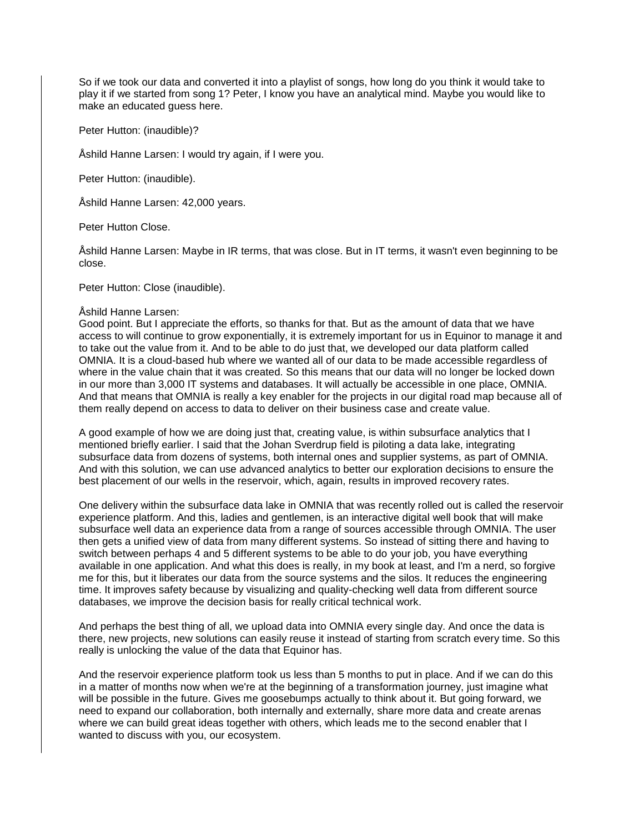So if we took our data and converted it into a playlist of songs, how long do you think it would take to play it if we started from song 1? Peter, I know you have an analytical mind. Maybe you would like to make an educated quess here.

Peter Hutton: (inaudible)?

Åshild Hanne Larsen: I would try again, if I were you.

Peter Hutton: (inaudible).

Åshild Hanne Larsen: 42,000 years.

Peter Hutton Close.

Åshild Hanne Larsen: Maybe in IR terms, that was close. But in IT terms, it wasn't even beginning to be close.

Peter Hutton: Close (inaudible).

#### Åshild Hanne Larsen:

Good point. But I appreciate the efforts, so thanks for that. But as the amount of data that we have access to will continue to grow exponentially, it is extremely important for us in Equinor to manage it and to take out the value from it. And to be able to do just that, we developed our data platform called OMNIA. It is a cloud-based hub where we wanted all of our data to be made accessible regardless of where in the value chain that it was created. So this means that our data will no longer be locked down in our more than 3,000 IT systems and databases. It will actually be accessible in one place, OMNIA. And that means that OMNIA is really a key enabler for the projects in our digital road map because all of them really depend on access to data to deliver on their business case and create value.

A good example of how we are doing just that, creating value, is within subsurface analytics that I mentioned briefly earlier. I said that the Johan Sverdrup field is piloting a data lake, integrating subsurface data from dozens of systems, both internal ones and supplier systems, as part of OMNIA. And with this solution, we can use advanced analytics to better our exploration decisions to ensure the best placement of our wells in the reservoir, which, again, results in improved recovery rates.

One delivery within the subsurface data lake in OMNIA that was recently rolled out is called the reservoir experience platform. And this, ladies and gentlemen, is an interactive digital well book that will make subsurface well data an experience data from a range of sources accessible through OMNIA. The user then gets a unified view of data from many different systems. So instead of sitting there and having to switch between perhaps 4 and 5 different systems to be able to do your job, you have everything available in one application. And what this does is really, in my book at least, and I'm a nerd, so forgive me for this, but it liberates our data from the source systems and the silos. It reduces the engineering time. It improves safety because by visualizing and quality-checking well data from different source databases, we improve the decision basis for really critical technical work.

And perhaps the best thing of all, we upload data into OMNIA every single day. And once the data is there, new projects, new solutions can easily reuse it instead of starting from scratch every time. So this really is unlocking the value of the data that Equinor has.

And the reservoir experience platform took us less than 5 months to put in place. And if we can do this in a matter of months now when we're at the beginning of a transformation journey, just imagine what will be possible in the future. Gives me goosebumps actually to think about it. But going forward, we need to expand our collaboration, both internally and externally, share more data and create arenas where we can build great ideas together with others, which leads me to the second enabler that I wanted to discuss with you, our ecosystem.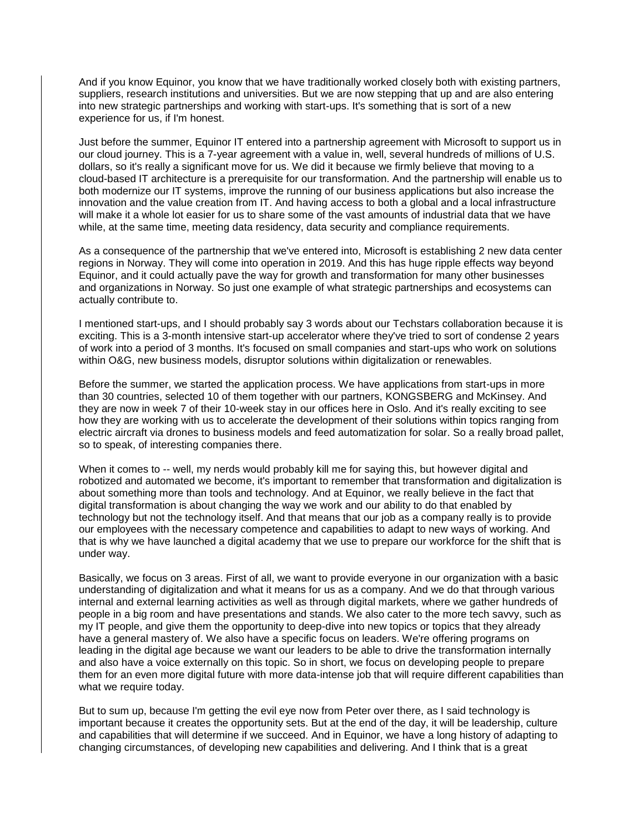And if you know Equinor, you know that we have traditionally worked closely both with existing partners, suppliers, research institutions and universities. But we are now stepping that up and are also entering into new strategic partnerships and working with start-ups. It's something that is sort of a new experience for us, if I'm honest.

Just before the summer, Equinor IT entered into a partnership agreement with Microsoft to support us in our cloud journey. This is a 7-year agreement with a value in, well, several hundreds of millions of U.S. dollars, so it's really a significant move for us. We did it because we firmly believe that moving to a cloud-based IT architecture is a prerequisite for our transformation. And the partnership will enable us to both modernize our IT systems, improve the running of our business applications but also increase the innovation and the value creation from IT. And having access to both a global and a local infrastructure will make it a whole lot easier for us to share some of the vast amounts of industrial data that we have while, at the same time, meeting data residency, data security and compliance requirements.

As a consequence of the partnership that we've entered into, Microsoft is establishing 2 new data center regions in Norway. They will come into operation in 2019. And this has huge ripple effects way beyond Equinor, and it could actually pave the way for growth and transformation for many other businesses and organizations in Norway. So just one example of what strategic partnerships and ecosystems can actually contribute to.

I mentioned start-ups, and I should probably say 3 words about our Techstars collaboration because it is exciting. This is a 3-month intensive start-up accelerator where they've tried to sort of condense 2 years of work into a period of 3 months. It's focused on small companies and start-ups who work on solutions within O&G, new business models, disruptor solutions within digitalization or renewables.

Before the summer, we started the application process. We have applications from start-ups in more than 30 countries, selected 10 of them together with our partners, KONGSBERG and McKinsey. And they are now in week 7 of their 10-week stay in our offices here in Oslo. And it's really exciting to see how they are working with us to accelerate the development of their solutions within topics ranging from electric aircraft via drones to business models and feed automatization for solar. So a really broad pallet, so to speak, of interesting companies there.

When it comes to -- well, my nerds would probably kill me for saying this, but however digital and robotized and automated we become, it's important to remember that transformation and digitalization is about something more than tools and technology. And at Equinor, we really believe in the fact that digital transformation is about changing the way we work and our ability to do that enabled by technology but not the technology itself. And that means that our job as a company really is to provide our employees with the necessary competence and capabilities to adapt to new ways of working. And that is why we have launched a digital academy that we use to prepare our workforce for the shift that is under way.

Basically, we focus on 3 areas. First of all, we want to provide everyone in our organization with a basic understanding of digitalization and what it means for us as a company. And we do that through various internal and external learning activities as well as through digital markets, where we gather hundreds of people in a big room and have presentations and stands. We also cater to the more tech savvy, such as my IT people, and give them the opportunity to deep-dive into new topics or topics that they already have a general mastery of. We also have a specific focus on leaders. We're offering programs on leading in the digital age because we want our leaders to be able to drive the transformation internally and also have a voice externally on this topic. So in short, we focus on developing people to prepare them for an even more digital future with more data-intense job that will require different capabilities than what we require today.

But to sum up, because I'm getting the evil eye now from Peter over there, as I said technology is important because it creates the opportunity sets. But at the end of the day, it will be leadership, culture and capabilities that will determine if we succeed. And in Equinor, we have a long history of adapting to changing circumstances, of developing new capabilities and delivering. And I think that is a great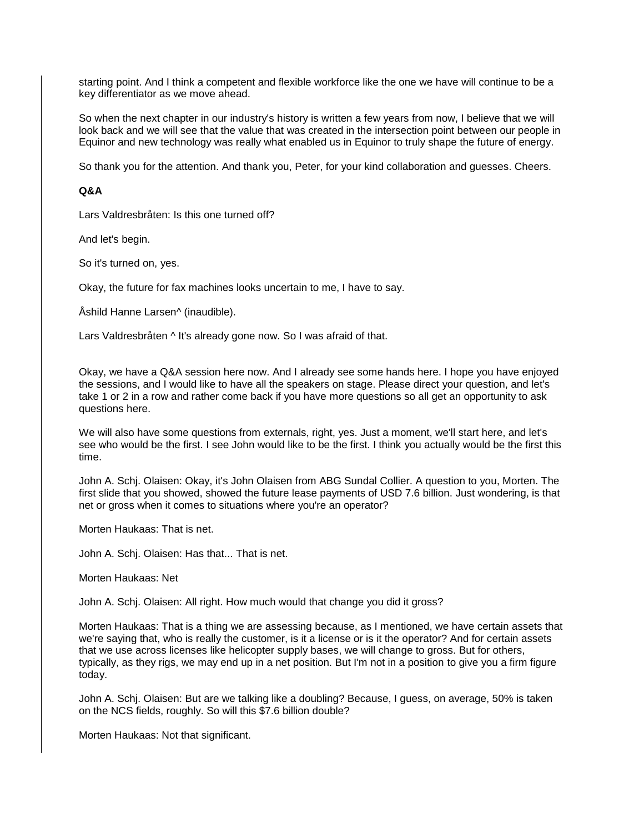starting point. And I think a competent and flexible workforce like the one we have will continue to be a key differentiator as we move ahead.

So when the next chapter in our industry's history is written a few years from now, I believe that we will look back and we will see that the value that was created in the intersection point between our people in Equinor and new technology was really what enabled us in Equinor to truly shape the future of energy.

So thank you for the attention. And thank you, Peter, for your kind collaboration and guesses. Cheers.

# **Q&A**

Lars Valdresbråten: Is this one turned off?

And let's begin.

So it's turned on, yes.

Okay, the future for fax machines looks uncertain to me, I have to say.

Åshild Hanne Larsen^ (inaudible).

Lars Valdresbråten ^ It's already gone now. So I was afraid of that.

Okay, we have a Q&A session here now. And I already see some hands here. I hope you have enjoyed the sessions, and I would like to have all the speakers on stage. Please direct your question, and let's take 1 or 2 in a row and rather come back if you have more questions so all get an opportunity to ask questions here.

We will also have some questions from externals, right, yes. Just a moment, we'll start here, and let's see who would be the first. I see John would like to be the first. I think you actually would be the first this time.

John A. Schj. Olaisen: Okay, it's John Olaisen from ABG Sundal Collier. A question to you, Morten. The first slide that you showed, showed the future lease payments of USD 7.6 billion. Just wondering, is that net or gross when it comes to situations where you're an operator?

Morten Haukaas: That is net.

John A. Schj. Olaisen: Has that... That is net.

Morten Haukaas: Net

John A. Schj. Olaisen: All right. How much would that change you did it gross?

Morten Haukaas: That is a thing we are assessing because, as I mentioned, we have certain assets that we're saying that, who is really the customer, is it a license or is it the operator? And for certain assets that we use across licenses like helicopter supply bases, we will change to gross. But for others, typically, as they rigs, we may end up in a net position. But I'm not in a position to give you a firm figure today.

John A. Schj. Olaisen: But are we talking like a doubling? Because, I guess, on average, 50% is taken on the NCS fields, roughly. So will this \$7.6 billion double?

Morten Haukaas: Not that significant.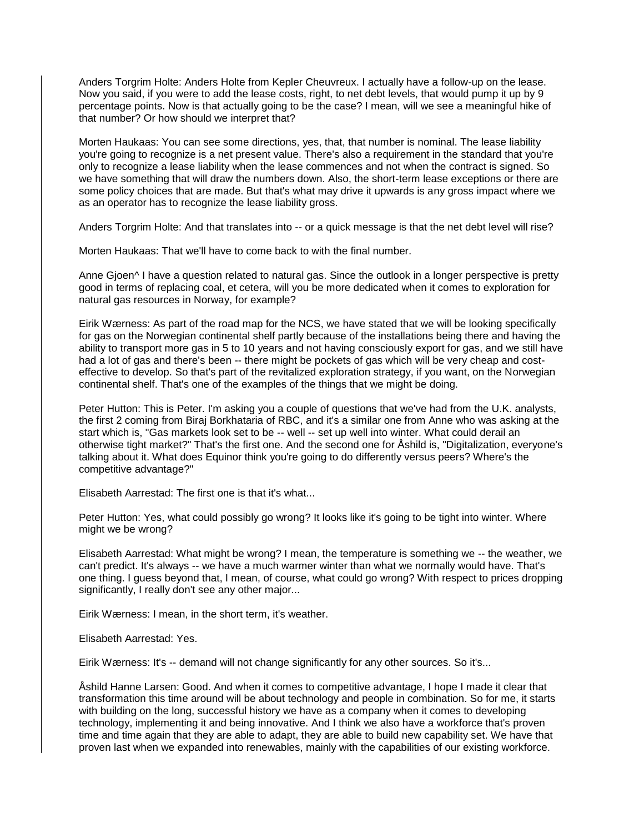Anders Torgrim Holte: Anders Holte from Kepler Cheuvreux. I actually have a follow-up on the lease. Now you said, if you were to add the lease costs, right, to net debt levels, that would pump it up by 9 percentage points. Now is that actually going to be the case? I mean, will we see a meaningful hike of that number? Or how should we interpret that?

Morten Haukaas: You can see some directions, yes, that, that number is nominal. The lease liability you're going to recognize is a net present value. There's also a requirement in the standard that you're only to recognize a lease liability when the lease commences and not when the contract is signed. So we have something that will draw the numbers down. Also, the short-term lease exceptions or there are some policy choices that are made. But that's what may drive it upwards is any gross impact where we as an operator has to recognize the lease liability gross.

Anders Torgrim Holte: And that translates into -- or a quick message is that the net debt level will rise?

Morten Haukaas: That we'll have to come back to with the final number.

Anne Gjoen<sup>^</sup> I have a question related to natural gas. Since the outlook in a longer perspective is pretty good in terms of replacing coal, et cetera, will you be more dedicated when it comes to exploration for natural gas resources in Norway, for example?

Eirik Wærness: As part of the road map for the NCS, we have stated that we will be looking specifically for gas on the Norwegian continental shelf partly because of the installations being there and having the ability to transport more gas in 5 to 10 years and not having consciously export for gas, and we still have had a lot of gas and there's been -- there might be pockets of gas which will be very cheap and costeffective to develop. So that's part of the revitalized exploration strategy, if you want, on the Norwegian continental shelf. That's one of the examples of the things that we might be doing.

Peter Hutton: This is Peter. I'm asking you a couple of questions that we've had from the U.K. analysts, the first 2 coming from Biraj Borkhataria of RBC, and it's a similar one from Anne who was asking at the start which is, "Gas markets look set to be -- well -- set up well into winter. What could derail an otherwise tight market?" That's the first one. And the second one for Åshild is, "Digitalization, everyone's talking about it. What does Equinor think you're going to do differently versus peers? Where's the competitive advantage?"

Elisabeth Aarrestad: The first one is that it's what...

Peter Hutton: Yes, what could possibly go wrong? It looks like it's going to be tight into winter. Where might we be wrong?

Elisabeth Aarrestad: What might be wrong? I mean, the temperature is something we -- the weather, we can't predict. It's always -- we have a much warmer winter than what we normally would have. That's one thing. I guess beyond that, I mean, of course, what could go wrong? With respect to prices dropping significantly, I really don't see any other major...

Eirik Wærness: I mean, in the short term, it's weather.

Elisabeth Aarrestad: Yes.

Eirik Wærness: It's -- demand will not change significantly for any other sources. So it's...

Åshild Hanne Larsen: Good. And when it comes to competitive advantage, I hope I made it clear that transformation this time around will be about technology and people in combination. So for me, it starts with building on the long, successful history we have as a company when it comes to developing technology, implementing it and being innovative. And I think we also have a workforce that's proven time and time again that they are able to adapt, they are able to build new capability set. We have that proven last when we expanded into renewables, mainly with the capabilities of our existing workforce.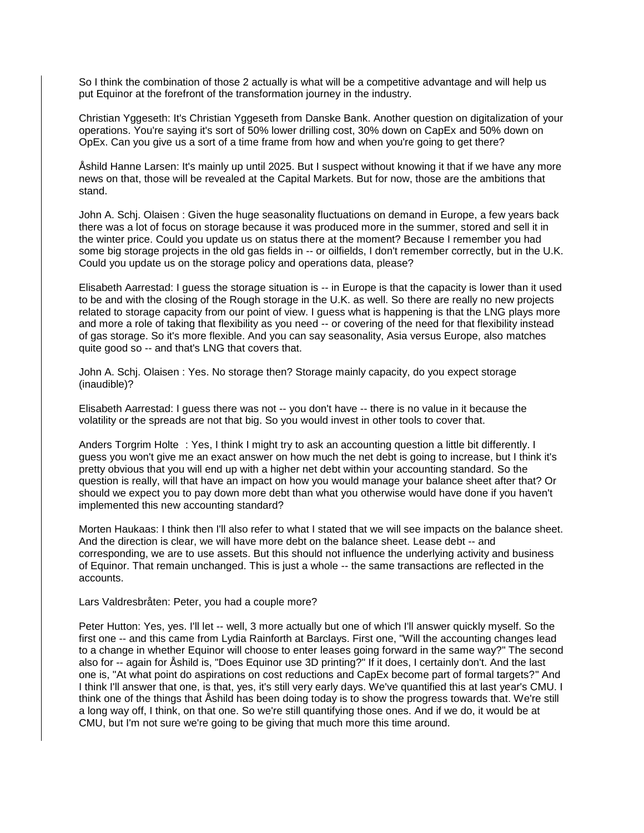So I think the combination of those 2 actually is what will be a competitive advantage and will help us put Equinor at the forefront of the transformation journey in the industry.

Christian Yggeseth: It's Christian Yggeseth from Danske Bank. Another question on digitalization of your operations. You're saying it's sort of 50% lower drilling cost, 30% down on CapEx and 50% down on OpEx. Can you give us a sort of a time frame from how and when you're going to get there?

Åshild Hanne Larsen: It's mainly up until 2025. But I suspect without knowing it that if we have any more news on that, those will be revealed at the Capital Markets. But for now, those are the ambitions that stand.

John A. Schj. Olaisen : Given the huge seasonality fluctuations on demand in Europe, a few years back there was a lot of focus on storage because it was produced more in the summer, stored and sell it in the winter price. Could you update us on status there at the moment? Because I remember you had some big storage projects in the old gas fields in -- or oilfields, I don't remember correctly, but in the U.K. Could you update us on the storage policy and operations data, please?

Elisabeth Aarrestad: I guess the storage situation is -- in Europe is that the capacity is lower than it used to be and with the closing of the Rough storage in the U.K. as well. So there are really no new projects related to storage capacity from our point of view. I guess what is happening is that the LNG plays more and more a role of taking that flexibility as you need -- or covering of the need for that flexibility instead of gas storage. So it's more flexible. And you can say seasonality, Asia versus Europe, also matches quite good so -- and that's LNG that covers that.

John A. Schj. Olaisen : Yes. No storage then? Storage mainly capacity, do you expect storage (inaudible)?

Elisabeth Aarrestad: I guess there was not -- you don't have -- there is no value in it because the volatility or the spreads are not that big. So you would invest in other tools to cover that.

Anders Torgrim Holte : Yes, I think I might try to ask an accounting question a little bit differently. I guess you won't give me an exact answer on how much the net debt is going to increase, but I think it's pretty obvious that you will end up with a higher net debt within your accounting standard. So the question is really, will that have an impact on how you would manage your balance sheet after that? Or should we expect you to pay down more debt than what you otherwise would have done if you haven't implemented this new accounting standard?

Morten Haukaas: I think then I'll also refer to what I stated that we will see impacts on the balance sheet. And the direction is clear, we will have more debt on the balance sheet. Lease debt -- and corresponding, we are to use assets. But this should not influence the underlying activity and business of Equinor. That remain unchanged. This is just a whole -- the same transactions are reflected in the accounts.

Lars Valdresbråten: Peter, you had a couple more?

Peter Hutton: Yes, yes. I'll let -- well, 3 more actually but one of which I'll answer quickly myself. So the first one -- and this came from Lydia Rainforth at Barclays. First one, "Will the accounting changes lead to a change in whether Equinor will choose to enter leases going forward in the same way?" The second also for -- again for Åshild is, "Does Equinor use 3D printing?" If it does, I certainly don't. And the last one is, "At what point do aspirations on cost reductions and CapEx become part of formal targets?" And I think I'll answer that one, is that, yes, it's still very early days. We've quantified this at last year's CMU. I think one of the things that Åshild has been doing today is to show the progress towards that. We're still a long way off, I think, on that one. So we're still quantifying those ones. And if we do, it would be at CMU, but I'm not sure we're going to be giving that much more this time around.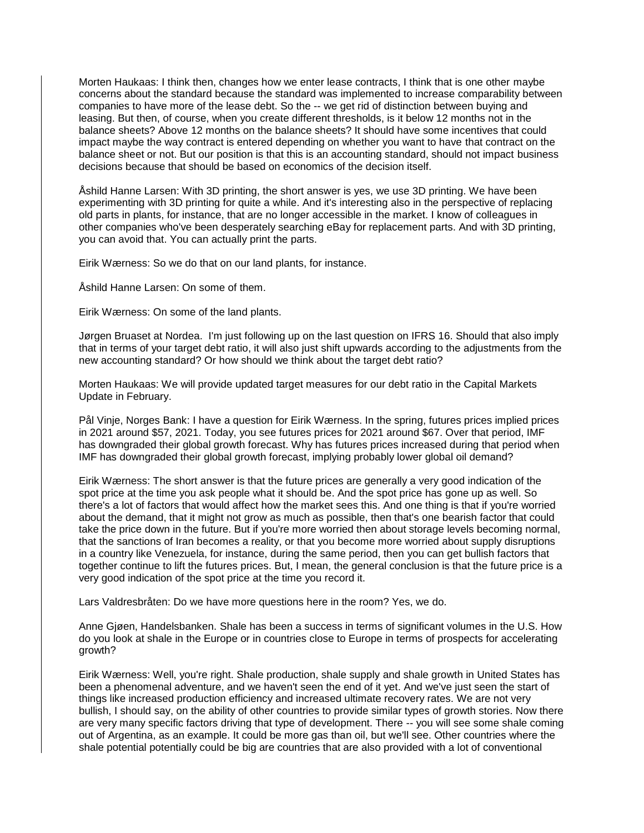Morten Haukaas: I think then, changes how we enter lease contracts, I think that is one other maybe concerns about the standard because the standard was implemented to increase comparability between companies to have more of the lease debt. So the -- we get rid of distinction between buying and leasing. But then, of course, when you create different thresholds, is it below 12 months not in the balance sheets? Above 12 months on the balance sheets? It should have some incentives that could impact maybe the way contract is entered depending on whether you want to have that contract on the balance sheet or not. But our position is that this is an accounting standard, should not impact business decisions because that should be based on economics of the decision itself.

Åshild Hanne Larsen: With 3D printing, the short answer is yes, we use 3D printing. We have been experimenting with 3D printing for quite a while. And it's interesting also in the perspective of replacing old parts in plants, for instance, that are no longer accessible in the market. I know of colleagues in other companies who've been desperately searching eBay for replacement parts. And with 3D printing, you can avoid that. You can actually print the parts.

Eirik Wærness: So we do that on our land plants, for instance.

Åshild Hanne Larsen: On some of them.

Eirik Wærness: On some of the land plants.

Jørgen Bruaset at Nordea. I'm just following up on the last question on IFRS 16. Should that also imply that in terms of your target debt ratio, it will also just shift upwards according to the adjustments from the new accounting standard? Or how should we think about the target debt ratio?

Morten Haukaas: We will provide updated target measures for our debt ratio in the Capital Markets Update in February.

Pål Vinje, Norges Bank: I have a question for Eirik Wærness. In the spring, futures prices implied prices in 2021 around \$57, 2021. Today, you see futures prices for 2021 around \$67. Over that period, IMF has downgraded their global growth forecast. Why has futures prices increased during that period when IMF has downgraded their global growth forecast, implying probably lower global oil demand?

Eirik Wærness: The short answer is that the future prices are generally a very good indication of the spot price at the time you ask people what it should be. And the spot price has gone up as well. So there's a lot of factors that would affect how the market sees this. And one thing is that if you're worried about the demand, that it might not grow as much as possible, then that's one bearish factor that could take the price down in the future. But if you're more worried then about storage levels becoming normal, that the sanctions of Iran becomes a reality, or that you become more worried about supply disruptions in a country like Venezuela, for instance, during the same period, then you can get bullish factors that together continue to lift the futures prices. But, I mean, the general conclusion is that the future price is a very good indication of the spot price at the time you record it.

Lars Valdresbråten: Do we have more questions here in the room? Yes, we do.

Anne Gjøen, Handelsbanken. Shale has been a success in terms of significant volumes in the U.S. How do you look at shale in the Europe or in countries close to Europe in terms of prospects for accelerating growth?

Eirik Wærness: Well, you're right. Shale production, shale supply and shale growth in United States has been a phenomenal adventure, and we haven't seen the end of it yet. And we've just seen the start of things like increased production efficiency and increased ultimate recovery rates. We are not very bullish, I should say, on the ability of other countries to provide similar types of growth stories. Now there are very many specific factors driving that type of development. There -- you will see some shale coming out of Argentina, as an example. It could be more gas than oil, but we'll see. Other countries where the shale potential potentially could be big are countries that are also provided with a lot of conventional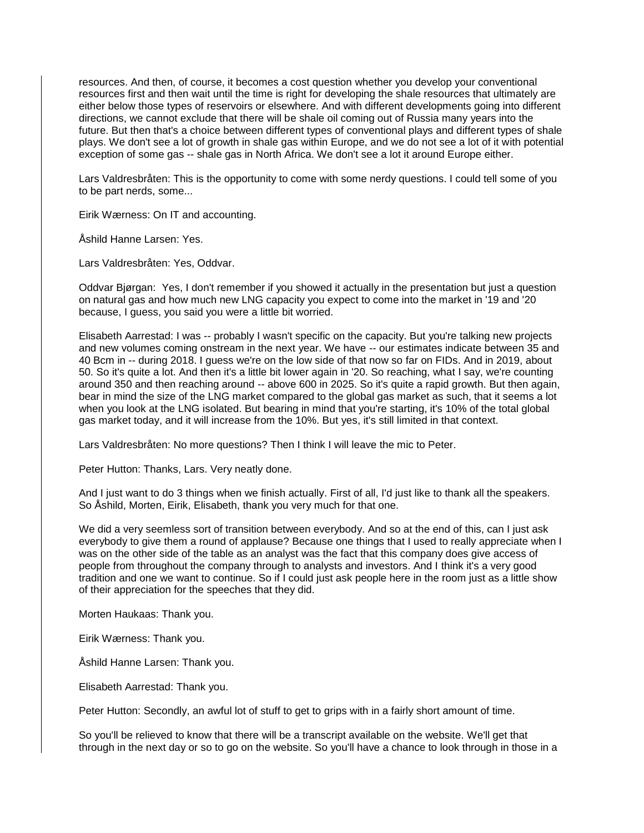resources. And then, of course, it becomes a cost question whether you develop your conventional resources first and then wait until the time is right for developing the shale resources that ultimately are either below those types of reservoirs or elsewhere. And with different developments going into different directions, we cannot exclude that there will be shale oil coming out of Russia many years into the future. But then that's a choice between different types of conventional plays and different types of shale plays. We don't see a lot of growth in shale gas within Europe, and we do not see a lot of it with potential exception of some gas -- shale gas in North Africa. We don't see a lot it around Europe either.

Lars Valdresbråten: This is the opportunity to come with some nerdy questions. I could tell some of you to be part nerds, some...

Eirik Wærness: On IT and accounting.

Åshild Hanne Larsen: Yes.

Lars Valdresbråten: Yes, Oddvar.

Oddvar Bjørgan: Yes, I don't remember if you showed it actually in the presentation but just a question on natural gas and how much new LNG capacity you expect to come into the market in '19 and '20 because, I guess, you said you were a little bit worried.

Elisabeth Aarrestad: I was -- probably I wasn't specific on the capacity. But you're talking new projects and new volumes coming onstream in the next year. We have -- our estimates indicate between 35 and 40 Bcm in -- during 2018. I guess we're on the low side of that now so far on FIDs. And in 2019, about 50. So it's quite a lot. And then it's a little bit lower again in '20. So reaching, what I say, we're counting around 350 and then reaching around -- above 600 in 2025. So it's quite a rapid growth. But then again, bear in mind the size of the LNG market compared to the global gas market as such, that it seems a lot when you look at the LNG isolated. But bearing in mind that you're starting, it's 10% of the total global gas market today, and it will increase from the 10%. But yes, it's still limited in that context.

Lars Valdresbråten: No more questions? Then I think I will leave the mic to Peter.

Peter Hutton: Thanks, Lars. Very neatly done.

And I just want to do 3 things when we finish actually. First of all, I'd just like to thank all the speakers. So Åshild, Morten, Eirik, Elisabeth, thank you very much for that one.

We did a very seemless sort of transition between everybody. And so at the end of this, can I just ask everybody to give them a round of applause? Because one things that I used to really appreciate when I was on the other side of the table as an analyst was the fact that this company does give access of people from throughout the company through to analysts and investors. And I think it's a very good tradition and one we want to continue. So if I could just ask people here in the room just as a little show of their appreciation for the speeches that they did.

Morten Haukaas: Thank you.

Eirik Wærness: Thank you.

Åshild Hanne Larsen: Thank you.

Elisabeth Aarrestad: Thank you.

Peter Hutton: Secondly, an awful lot of stuff to get to grips with in a fairly short amount of time.

So you'll be relieved to know that there will be a transcript available on the website. We'll get that through in the next day or so to go on the website. So you'll have a chance to look through in those in a